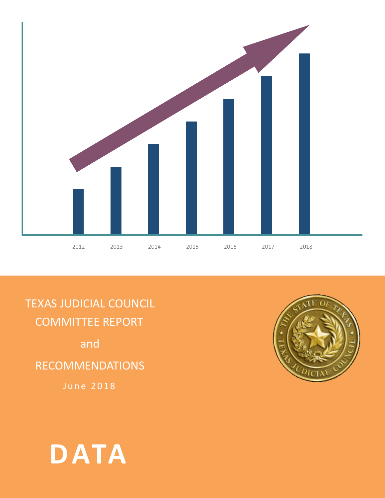

TEXAS JUDICIAL COUNCIL COMMITTEE REPORT

and

RECOMMENDATIONS

June 2018



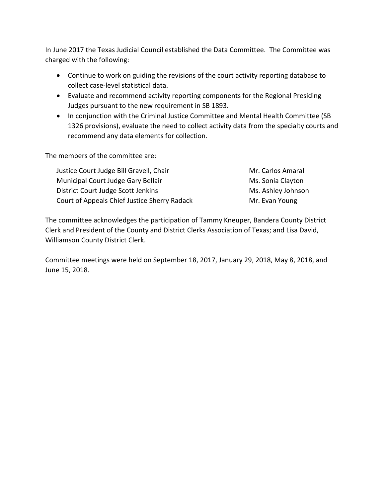In June 2017 the Texas Judicial Council established the Data Committee. The Committee was charged with the following:

- Continue to work on guiding the revisions of the court activity reporting database to collect case-level statistical data.
- Evaluate and recommend activity reporting components for the Regional Presiding Judges pursuant to the new requirement in SB 1893.
- In conjunction with the Criminal Justice Committee and Mental Health Committee (SB 1326 provisions), evaluate the need to collect activity data from the specialty courts and recommend any data elements for collection.

The members of the committee are:

| Justice Court Judge Bill Gravell, Chair      | Mr. Carlos Amaral  |
|----------------------------------------------|--------------------|
| Municipal Court Judge Gary Bellair           | Ms. Sonia Clayton  |
| District Court Judge Scott Jenkins           | Ms. Ashley Johnson |
| Court of Appeals Chief Justice Sherry Radack | Mr. Evan Young     |

The committee acknowledges the participation of Tammy Kneuper, Bandera County District Clerk and President of the County and District Clerks Association of Texas; and Lisa David, Williamson County District Clerk.

Committee meetings were held on September 18, 2017, January 29, 2018, May 8, 2018, and June 15, 2018.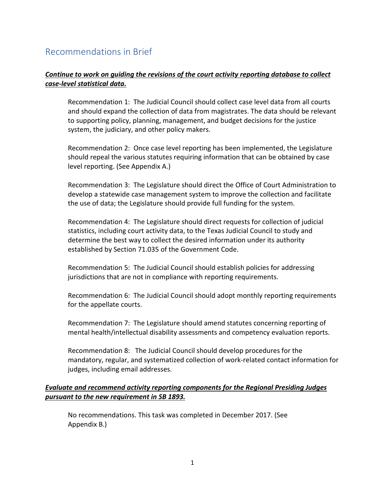## Recommendations in Brief

### *Continue to work on guiding the revisions of the court activity reporting database to collect case-level statistical data.*

Recommendation 1: The Judicial Council should collect case level data from all courts and should expand the collection of data from magistrates. The data should be relevant to supporting policy, planning, management, and budget decisions for the justice system, the judiciary, and other policy makers.

Recommendation 2: Once case level reporting has been implemented, the Legislature should repeal the various statutes requiring information that can be obtained by case level reporting. (See Appendix A.)

Recommendation 3: The Legislature should direct the Office of Court Administration to develop a statewide case management system to improve the collection and facilitate the use of data; the Legislature should provide full funding for the system.

Recommendation 4: The Legislature should direct requests for collection of judicial statistics, including court activity data, to the Texas Judicial Council to study and determine the best way to collect the desired information under its authority established by Section 71.035 of the Government Code.

Recommendation 5: The Judicial Council should establish policies for addressing jurisdictions that are not in compliance with reporting requirements.

Recommendation 6: The Judicial Council should adopt monthly reporting requirements for the appellate courts.

Recommendation 7: The Legislature should amend statutes concerning reporting of mental health/intellectual disability assessments and competency evaluation reports.

Recommendation 8: The Judicial Council should develop procedures for the mandatory, regular, and systematized collection of work-related contact information for judges, including email addresses.

### *Evaluate and recommend activity reporting components for the Regional Presiding Judges pursuant to the new requirement in SB 1893.*

No recommendations. This task was completed in December 2017. (See Appendix B.)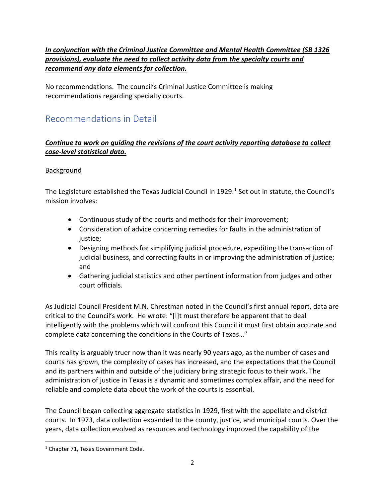### *In conjunction with the Criminal Justice Committee and Mental Health Committee (SB 1326 provisions), evaluate the need to collect activity data from the specialty courts and recommend any data elements for collection.*

No recommendations. The council's Criminal Justice Committee is making recommendations regarding specialty courts.

## Recommendations in Detail

### *Continue to work on guiding the revisions of the court activity reporting database to collect case-level statistical data.*

### Background

The Legislature established the Texas Judicial Council in [1](#page-3-0)929. $<sup>1</sup>$  Set out in statute, the Council's</sup> mission involves:

- Continuous study of the courts and methods for their improvement;
- Consideration of advice concerning remedies for faults in the administration of justice;
- Designing methods for simplifying judicial procedure, expediting the transaction of judicial business, and correcting faults in or improving the administration of justice; and
- Gathering judicial statistics and other pertinent information from judges and other court officials.

As Judicial Council President M.N. Chrestman noted in the Council's first annual report, data are critical to the Council's work. He wrote: "[I]t must therefore be apparent that to deal intelligently with the problems which will confront this Council it must first obtain accurate and complete data concerning the conditions in the Courts of Texas…"

This reality is arguably truer now than it was nearly 90 years ago, as the number of cases and courts has grown, the complexity of cases has increased, and the expectations that the Council and its partners within and outside of the judiciary bring strategic focus to their work. The administration of justice in Texas is a dynamic and sometimes complex affair, and the need for reliable and complete data about the work of the courts is essential.

The Council began collecting aggregate statistics in 1929, first with the appellate and district courts. In 1973, data collection expanded to the county, justice, and municipal courts. Over the years, data collection evolved as resources and technology improved the capability of the

<span id="page-3-0"></span><sup>&</sup>lt;sup>1</sup> Chapter 71, Texas Government Code.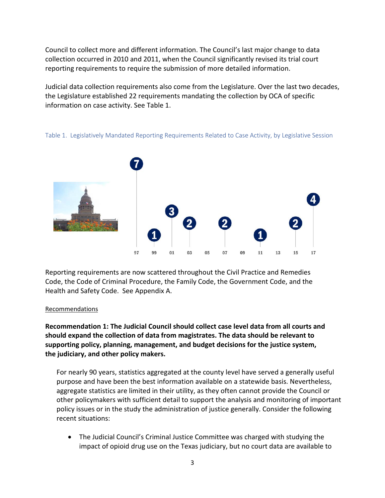Council to collect more and different information. The Council's last major change to data collection occurred in 2010 and 2011, when the Council significantly revised its trial court reporting requirements to require the submission of more detailed information.

Judicial data collection requirements also come from the Legislature. Over the last two decades, the Legislature established 22 requirements mandating the collection by OCA of specific information on case activity. See Table 1.



Table 1. Legislatively Mandated Reporting Requirements Related to Case Activity, by Legislative Session

Reporting requirements are now scattered throughout the Civil Practice and Remedies Code, the Code of Criminal Procedure, the Family Code, the Government Code, and the Health and Safety Code. See Appendix A.

#### Recommendations

**Recommendation 1: The Judicial Council should collect case level data from all courts and should expand the collection of data from magistrates. The data should be relevant to supporting policy, planning, management, and budget decisions for the justice system, the judiciary, and other policy makers.**

For nearly 90 years, statistics aggregated at the county level have served a generally useful purpose and have been the best information available on a statewide basis. Nevertheless, aggregate statistics are limited in their utility, as they often cannot provide the Council or other policymakers with sufficient detail to support the analysis and monitoring of important policy issues or in the study the administration of justice generally. Consider the following recent situations:

• The Judicial Council's Criminal Justice Committee was charged with studying the impact of opioid drug use on the Texas judiciary, but no court data are available to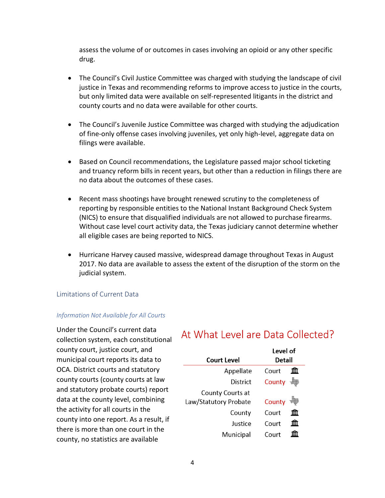assess the volume of or outcomes in cases involving an opioid or any other specific drug.

- The Council's Civil Justice Committee was charged with studying the landscape of civil justice in Texas and recommending reforms to improve access to justice in the courts, but only limited data were available on self-represented litigants in the district and county courts and no data were available for other courts.
- The Council's Juvenile Justice Committee was charged with studying the adjudication of fine-only offense cases involving juveniles, yet only high-level, aggregate data on filings were available.
- Based on Council recommendations, the Legislature passed major school ticketing and truancy reform bills in recent years, but other than a reduction in filings there are no data about the outcomes of these cases.
- Recent mass shootings have brought renewed scrutiny to the completeness of reporting by responsible entities to the National Instant Background Check System (NICS) to ensure that disqualified individuals are not allowed to purchase firearms. Without case level court activity data, the Texas judiciary cannot determine whether all eligible cases are being reported to NICS.
- Hurricane Harvey caused massive, widespread damage throughout Texas in August 2017. No data are available to assess the extent of the disruption of the storm on the judicial system.

### Limitations of Current Data

### *Information Not Available for All Courts*

Under the Council's current data collection system, each constitutional county court, justice court, and municipal court reports its data to OCA. District courts and statutory county courts (county courts at law and statutory probate courts) report data at the county level, combining the activity for all courts in the county into one report. As a result, if there is more than one court in the county, no statistics are available

## At What Level are Data Collected?

| Court Level           | Level of<br>Detail |   |
|-----------------------|--------------------|---|
|                       |                    |   |
| Appellate             | Court              |   |
| District              | County             |   |
| County Courts at      |                    |   |
| Law/Statutory Probate | County             |   |
| County                | Court              | m |
| lustice               | Court              | Ш |
| Municipal             | Court              |   |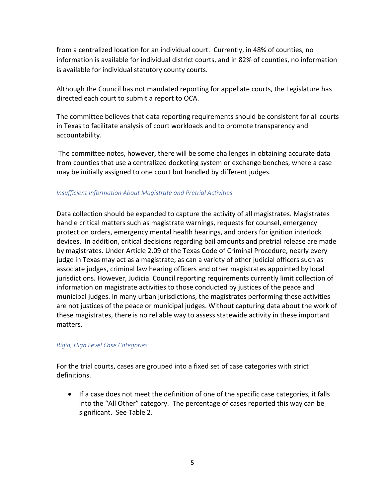from a centralized location for an individual court. Currently, in 48% of counties, no information is available for individual district courts, and in 82% of counties, no information is available for individual statutory county courts.

Although the Council has not mandated reporting for appellate courts, the Legislature has directed each court to submit a report to OCA.

The committee believes that data reporting requirements should be consistent for all courts in Texas to facilitate analysis of court workloads and to promote transparency and accountability.

The committee notes, however, there will be some challenges in obtaining accurate data from counties that use a centralized docketing system or exchange benches, where a case may be initially assigned to one court but handled by different judges.

### *Insufficient Information About Magistrate and Pretrial Activities*

Data collection should be expanded to capture the activity of all magistrates. Magistrates handle critical matters such as magistrate warnings, requests for counsel, emergency protection orders, emergency mental health hearings, and orders for ignition interlock devices. In addition, critical decisions regarding bail amounts and pretrial release are made by magistrates. Under Article 2.09 of the Texas Code of Criminal Procedure, nearly every judge in Texas may act as a magistrate, as can a variety of other judicial officers such as associate judges, criminal law hearing officers and other magistrates appointed by local jurisdictions. However, Judicial Council reporting requirements currently limit collection of information on magistrate activities to those conducted by justices of the peace and municipal judges. In many urban jurisdictions, the magistrates performing these activities are not justices of the peace or municipal judges. Without capturing data about the work of these magistrates, there is no reliable way to assess statewide activity in these important matters.

### *Rigid, High Level Case Categories*

For the trial courts, cases are grouped into a fixed set of case categories with strict definitions.

• If a case does not meet the definition of one of the specific case categories, it falls into the "All Other" category. The percentage of cases reported this way can be significant. See Table 2.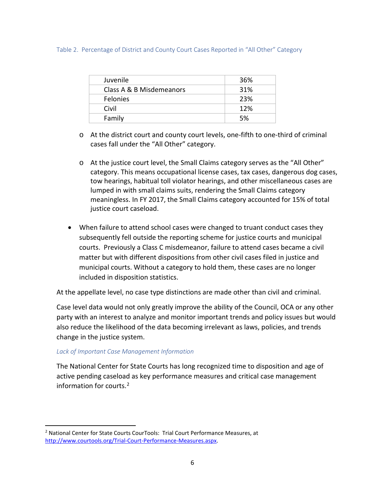#### Table 2. Percentage of District and County Court Cases Reported in "All Other" Category

| Juvenile                 | 36% |
|--------------------------|-----|
| Class A & B Misdemeanors | 31% |
| Felonies                 | 23% |
| Civil                    | 12% |
| Family                   | .5% |

- o At the district court and county court levels, one-fifth to one-third of criminal cases fall under the "All Other" category.
- o At the justice court level, the Small Claims category serves as the "All Other" category. This means occupational license cases, tax cases, dangerous dog cases, tow hearings, habitual toll violator hearings, and other miscellaneous cases are lumped in with small claims suits, rendering the Small Claims category meaningless. In FY 2017, the Small Claims category accounted for 15% of total justice court caseload.
- When failure to attend school cases were changed to truant conduct cases they subsequently fell outside the reporting scheme for justice courts and municipal courts. Previously a Class C misdemeanor, failure to attend cases became a civil matter but with different dispositions from other civil cases filed in justice and municipal courts. Without a category to hold them, these cases are no longer included in disposition statistics.

At the appellate level, no case type distinctions are made other than civil and criminal.

Case level data would not only greatly improve the ability of the Council, OCA or any other party with an interest to analyze and monitor important trends and policy issues but would also reduce the likelihood of the data becoming irrelevant as laws, policies, and trends change in the justice system.

### *Lack of Important Case Management Information*

The National Center for State Courts has long recognized time to disposition and age of active pending caseload as key performance measures and critical case management information for courts.<sup>[2](#page-7-0)</sup>

<span id="page-7-0"></span><sup>&</sup>lt;sup>2</sup> National Center for State Courts CourTools: Trial Court Performance Measures, at [http://www.courtools.org/Trial-Court-Performance-Measures.aspx.](http://www.courtools.org/Trial-Court-Performance-Measures.aspx)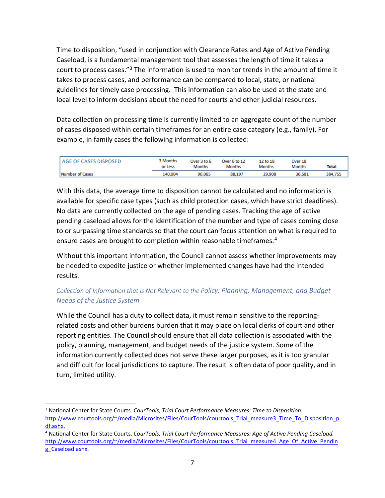Time to disposition, "used in conjunction with Clearance Rates and Age of Active Pending Caseload, is a fundamental management tool that assesses the length of time it takes a court to process cases."<sup>[3](#page-8-0)</sup> The information is used to monitor trends in the amount of time it takes to process cases, and performance can be compared to local, state, or national guidelines for timely case processing. This information can also be used at the state and local level to inform decisions about the need for courts and other judicial resources.

Data collection on processing time is currently limited to an aggregate count of the number of cases disposed within certain timeframes for an entire case category (e.g., family). For example, in family cases the following information is collected:

| <b>AGE OF CASES DISPOSED</b> | 3 Months<br>or Less | Over 3 to 6<br><b>Months</b> | Over 6 to 12<br>Months | 12 to 18<br><b>Months</b> | Over 18<br><b>Months</b> | <b>Total</b> |
|------------------------------|---------------------|------------------------------|------------------------|---------------------------|--------------------------|--------------|
| Number of Cases              | 40,004              | 90,065                       | 88,197                 | 29.908                    | 36.581                   | 384,755      |

With this data, the average time to disposition cannot be calculated and no information is available for specific case types (such as child protection cases, which have strict deadlines). No data are currently collected on the age of pending cases. Tracking the age of active pending caseload allows for the identification of the number and type of cases coming close to or surpassing time standards so that the court can focus attention on what is required to ensure cases are brought to completion within reasonable timeframes.<sup>[4](#page-8-1)</sup>

Without this important information, the Council cannot assess whether improvements may be needed to expedite justice or whether implemented changes have had the intended results.

### *Collection of Information that is Not Relevant to the Policy, Planning, Management, and Budget Needs of the Justice System*

While the Council has a duty to collect data, it must remain sensitive to the reportingrelated costs and other burdens burden that it may place on local clerks of court and other reporting entities. The Council should ensure that all data collection is associated with the policy, planning, management, and budget needs of the justice system. Some of the information currently collected does not serve these larger purposes, as it is too granular and difficult for local jurisdictions to capture. The result is often data of poor quality, and in turn, limited utility.

<span id="page-8-0"></span> <sup>3</sup> National Center for State Courts. *CourTools, Trial Court Performance Measures: Time to Disposition.* [http://www.courtools.org/~/media/Microsites/Files/CourTools/courtools\\_Trial\\_measure3\\_Time\\_To\\_Disposition\\_p](http://www.courtools.org/%7E/media/Microsites/Files/CourTools/courtools_Trial_measure3_Time_To_Disposition_pdf.ashx) [df.ashx.](http://www.courtools.org/%7E/media/Microsites/Files/CourTools/courtools_Trial_measure3_Time_To_Disposition_pdf.ashx)

<span id="page-8-1"></span><sup>4</sup> National Center for State Courts. *CourTools, Trial Court Performance Measures: Age of Active Pending Caseload.*  [http://www.courtools.org/~/media/Microsites/Files/CourTools/courtools\\_Trial\\_measure4\\_Age\\_Of\\_Active\\_Pendin](http://www.courtools.org/%7E/media/Microsites/Files/CourTools/courtools_Trial_measure4_Age_Of_Active_Pending_Caseload.ashx) [g\\_Caseload.ashx.](http://www.courtools.org/%7E/media/Microsites/Files/CourTools/courtools_Trial_measure4_Age_Of_Active_Pending_Caseload.ashx)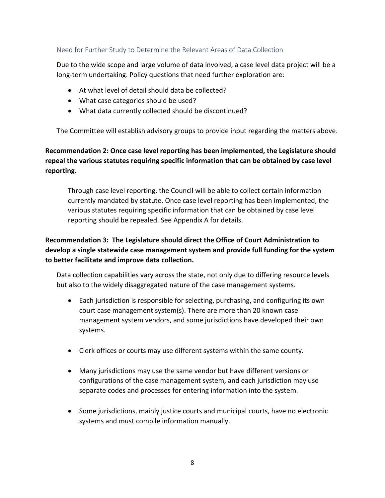### Need for Further Study to Determine the Relevant Areas of Data Collection

Due to the wide scope and large volume of data involved, a case level data project will be a long-term undertaking. Policy questions that need further exploration are:

- At what level of detail should data be collected?
- What case categories should be used?
- What data currently collected should be discontinued?

The Committee will establish advisory groups to provide input regarding the matters above.

### **Recommendation 2: Once case level reporting has been implemented, the Legislature should repeal the various statutes requiring specific information that can be obtained by case level reporting.**

Through case level reporting, the Council will be able to collect certain information currently mandated by statute. Once case level reporting has been implemented, the various statutes requiring specific information that can be obtained by case level reporting should be repealed. See Appendix A for details.

### **Recommendation 3: The Legislature should direct the Office of Court Administration to develop a single statewide case management system and provide full funding for the system to better facilitate and improve data collection.**

Data collection capabilities vary across the state, not only due to differing resource levels but also to the widely disaggregated nature of the case management systems.

- Each jurisdiction is responsible for selecting, purchasing, and configuring its own court case management system(s). There are more than 20 known case management system vendors, and some jurisdictions have developed their own systems.
- Clerk offices or courts may use different systems within the same county.
- Many jurisdictions may use the same vendor but have different versions or configurations of the case management system, and each jurisdiction may use separate codes and processes for entering information into the system.
- Some jurisdictions, mainly justice courts and municipal courts, have no electronic systems and must compile information manually.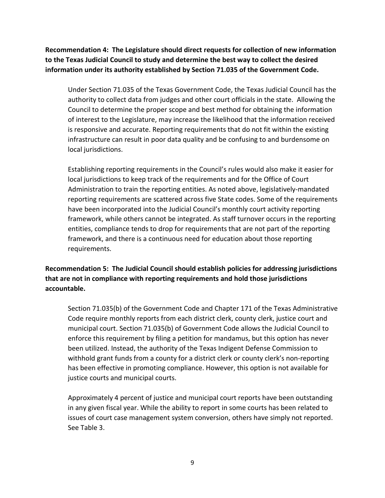**Recommendation 4: The Legislature should direct requests for collection of new information to the Texas Judicial Council to study and determine the best way to collect the desired information under its authority established by Section 71.035 of the Government Code.** 

Under Section 71.035 of the Texas Government Code, the Texas Judicial Council has the authority to collect data from judges and other court officials in the state. Allowing the Council to determine the proper scope and best method for obtaining the information of interest to the Legislature, may increase the likelihood that the information received is responsive and accurate. Reporting requirements that do not fit within the existing infrastructure can result in poor data quality and be confusing to and burdensome on local jurisdictions.

Establishing reporting requirements in the Council's rules would also make it easier for local jurisdictions to keep track of the requirements and for the Office of Court Administration to train the reporting entities. As noted above, legislatively-mandated reporting requirements are scattered across five State codes. Some of the requirements have been incorporated into the Judicial Council's monthly court activity reporting framework, while others cannot be integrated. As staff turnover occurs in the reporting entities, compliance tends to drop for requirements that are not part of the reporting framework, and there is a continuous need for education about those reporting requirements.

**Recommendation 5: The Judicial Council should establish policies for addressing jurisdictions that are not in compliance with reporting requirements and hold those jurisdictions accountable.** 

Section 71.035(b) of the Government Code and Chapter 171 of the Texas Administrative Code require monthly reports from each district clerk, county clerk, justice court and municipal court. Section 71.035(b) of Government Code allows the Judicial Council to enforce this requirement by filing a petition for mandamus, but this option has never been utilized. Instead, the authority of the Texas Indigent Defense Commission to withhold grant funds from a county for a district clerk or county clerk's non-reporting has been effective in promoting compliance. However, this option is not available for justice courts and municipal courts.

Approximately 4 percent of justice and municipal court reports have been outstanding in any given fiscal year. While the ability to report in some courts has been related to issues of court case management system conversion, others have simply not reported. See Table 3.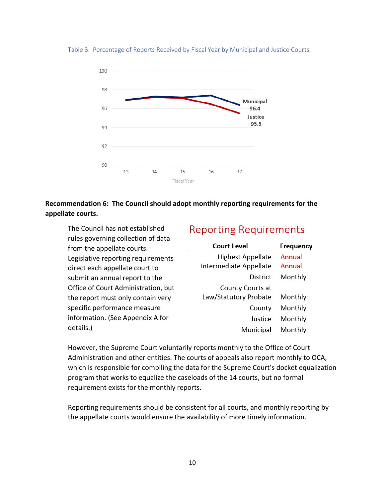

Table 3. Percentage of Reports Received by Fiscal Year by Municipal and Justice Courts.

### **Recommendation 6: The Council should adopt monthly reporting requirements for the appellate courts.**

The Council has not established rules governing collection of data from the appellate courts. Legislative reporting requirements direct each appellate court to submit an annual report to the Office of Court Administration, but the report must only contain very specific performance measure information. (See Appendix A for details.)

## **Reporting Requirements**

| <b>Court Level</b>                                 | <b>Frequency</b> |
|----------------------------------------------------|------------------|
| <b>Highest Appellate</b><br>Intermediate Appellate | Annual<br>Annual |
| District                                           | Monthly          |
| County Courts at<br>Law/Statutory Probate          | Monthly          |
| County                                             | Monthly          |
| lustice                                            | Monthly          |
| Municipal                                          | Monthly          |

However, the Supreme Court voluntarily reports monthly to the Office of Court Administration and other entities. The courts of appeals also report monthly to OCA, which is responsible for compiling the data for the Supreme Court's docket equalization program that works to equalize the caseloads of the 14 courts, but no formal requirement exists for the monthly reports.

Reporting requirements should be consistent for all courts, and monthly reporting by the appellate courts would ensure the availability of more timely information.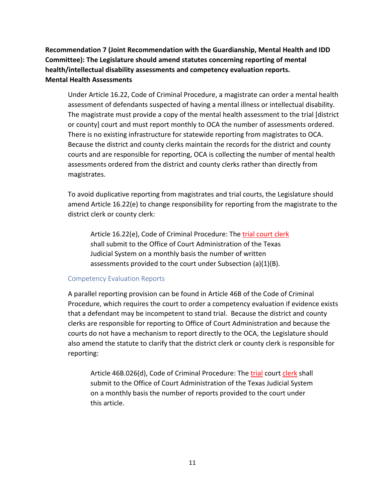**Recommendation 7 (Joint Recommendation with the Guardianship, Mental Health and IDD Committee): The Legislature should amend statutes concerning reporting of mental health/intellectual disability assessments and competency evaluation reports. Mental Health Assessments**

Under Article 16.22, Code of Criminal Procedure, a magistrate can order a mental health assessment of defendants suspected of having a mental illness or intellectual disability. The magistrate must provide a copy of the mental health assessment to the trial [district or county] court and must report monthly to OCA the number of assessments ordered. There is no existing infrastructure for statewide reporting from magistrates to OCA. Because the district and county clerks maintain the records for the district and county courts and are responsible for reporting, OCA is collecting the number of mental health assessments ordered from the district and county clerks rather than directly from magistrates.

To avoid duplicative reporting from magistrates and trial courts, the Legislature should amend Article 16.22(e) to change responsibility for reporting from the magistrate to the district clerk or county clerk:

Article 16.22(e), Code of Criminal Procedure: The trial court clerk shall submit to the Office of Court Administration of the Texas Judicial System on a monthly basis the number of written assessments provided to the court under Subsection (a)(1)(B).

### Competency Evaluation Reports

A parallel reporting provision can be found in Article 46B of the Code of Criminal Procedure, which requires the court to order a competency evaluation if evidence exists that a defendant may be incompetent to stand trial. Because the district and county clerks are responsible for reporting to Office of Court Administration and because the courts do not have a mechanism to report directly to the OCA, the Legislature should also amend the statute to clarify that the district clerk or county clerk is responsible for reporting:

Article 46B.026(d), Code of Criminal Procedure: The trial court clerk shall submit to the Office of Court Administration of the Texas Judicial System on a monthly basis the number of reports provided to the court under this article.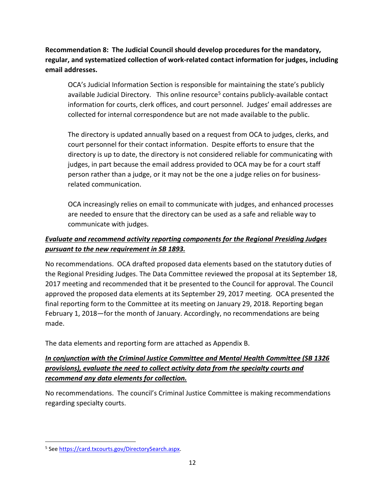**Recommendation 8: The Judicial Council should develop procedures for the mandatory, regular, and systematized collection of work-related contact information for judges, including email addresses.** 

OCA's Judicial Information Section is responsible for maintaining the state's publicly available Judicial Directory. This online resource<sup>[5](#page-13-0)</sup> contains publicly-available contact information for courts, clerk offices, and court personnel. Judges' email addresses are collected for internal correspondence but are not made available to the public.

The directory is updated annually based on a request from OCA to judges, clerks, and court personnel for their contact information. Despite efforts to ensure that the directory is up to date, the directory is not considered reliable for communicating with judges, in part because the email address provided to OCA may be for a court staff person rather than a judge, or it may not be the one a judge relies on for businessrelated communication.

OCA increasingly relies on email to communicate with judges, and enhanced processes are needed to ensure that the directory can be used as a safe and reliable way to communicate with judges.

### *Evaluate and recommend activity reporting components for the Regional Presiding Judges pursuant to the new requirement in SB 1893.*

No recommendations. OCA drafted proposed data elements based on the statutory duties of the Regional Presiding Judges. The Data Committee reviewed the proposal at its September 18, 2017 meeting and recommended that it be presented to the Council for approval. The Council approved the proposed data elements at its September 29, 2017 meeting. OCA presented the final reporting form to the Committee at its meeting on January 29, 2018. Reporting began February 1, 2018—for the month of January. Accordingly, no recommendations are being made.

The data elements and reporting form are attached as Appendix B.

### *In conjunction with the Criminal Justice Committee and Mental Health Committee (SB 1326 provisions), evaluate the need to collect activity data from the specialty courts and recommend any data elements for collection.*

No recommendations. The council's Criminal Justice Committee is making recommendations regarding specialty courts.

<span id="page-13-0"></span> <sup>5</sup> See [https://card.txcourts.gov/DirectorySearch.aspx.](https://card.txcourts.gov/DirectorySearch.aspx)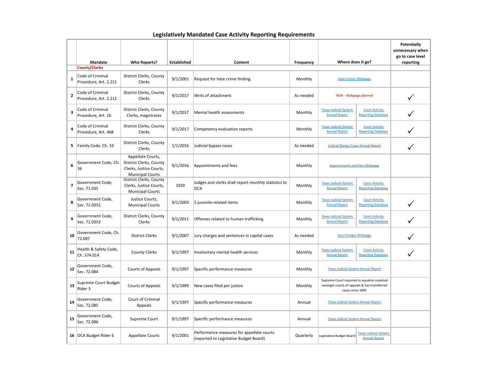|                |                                           |                                                                                                    |                    |                                                                                     |                                                                                          |                                                                                                                |                                                      | Potentially<br>unnecessary when<br>go to case level |
|----------------|-------------------------------------------|----------------------------------------------------------------------------------------------------|--------------------|-------------------------------------------------------------------------------------|------------------------------------------------------------------------------------------|----------------------------------------------------------------------------------------------------------------|------------------------------------------------------|-----------------------------------------------------|
|                | <b>Mandate</b>                            | <b>Who Reports?</b>                                                                                | <b>Established</b> | Content                                                                             | Frequency                                                                                | Where does it go?                                                                                              |                                                      | reporting                                           |
|                | <b>Courts/Clerks</b>                      |                                                                                                    |                    |                                                                                     |                                                                                          |                                                                                                                |                                                      |                                                     |
| 1              | Code of Criminal<br>Procedure, Art. 2.211 | District Clerks, County<br>Clerks                                                                  | 9/1/2001           | Request for hate crime finding                                                      | Monthly                                                                                  | <b>Hate Crimes Webpage</b>                                                                                     |                                                      |                                                     |
| $\overline{2}$ | Code of Criminal<br>Procedure, Art. 2.212 | District Clerks, County<br><b>Clerks</b>                                                           | 9/1/2017           | Writs of attachment                                                                 | As needed                                                                                | NEW - Webpage planned                                                                                          |                                                      |                                                     |
| 3              | Code of Criminal<br>Procedure, Art. 16    | District Clerks, County<br>Clerks, magistrates                                                     | 9/1/2017           | Mental health assessments                                                           | Monthly                                                                                  | <b>Texas Judicial System</b><br><b>Annual Report</b>                                                           | <b>Court Activity</b><br><b>Reporting Database</b>   |                                                     |
| 4              | Code of Criminal<br>Procedure, Art. 46B   | District Clerks, County<br><b>Clerks</b>                                                           | 9/1/2017           | Competency evaluation reports                                                       | Monthly                                                                                  | <b>Texas Judicial System</b><br><b>Annual Report</b>                                                           | <b>Court Activity</b><br><b>Reporting Database</b>   |                                                     |
| 5.             | Family Code, Ch. 33                       | District Clerks, County<br>Clerks                                                                  | 1/1/2016           | Judicial bypass cases                                                               | As needed                                                                                | <b>Judicial Bypass Cases Annual Report</b>                                                                     |                                                      |                                                     |
| 6              | Government Code, Ch.<br>36                | Appellate Courts,<br>District Clerks, County<br>Clerks, Justice Courts,<br><b>Municipal Courts</b> | 9/1/2016           | Appointments and fees                                                               | Monthly                                                                                  | <b>Appointments and Fees Webpage</b>                                                                           |                                                      |                                                     |
| 7              | Government Code,<br>Sec. 71.035           | District Clerks, County<br>Clerks, Justice Courts,<br><b>Municipal Courts</b>                      | 1929               | Judges and clerks shall report monthly statistics to<br><b>OCA</b>                  | <b>Texas Judicial System</b><br><b>Court Activity</b><br>Monthly<br><b>Annual Report</b> |                                                                                                                | <b>Reporting Database</b>                            |                                                     |
| 8              | Government Code,<br>Sec. 71.0352          | Justice Courts,<br><b>Municipal Courts</b>                                                         | 9/1/2003           | 5 juvenile-related items                                                            | Monthly                                                                                  | <b>Texas Judicial System</b><br><b>Annual Report</b>                                                           | <b>Court Activity</b><br><b>Reporting Database</b>   |                                                     |
| 9              | Government Code,<br>Sec. 71.0353          | District Clerks, County<br>Clerks                                                                  | 9/1/2011           | Offenses related to human trafficking                                               | Monthly                                                                                  | <b>Texas Judicial System</b><br><b>Annual Report</b>                                                           | <b>Court Activity</b><br><b>Reporting Database</b>   |                                                     |
| 10             | Government Code, Ch<br>72.087             | <b>District Clerks</b>                                                                             | 9/1/2007           | Jury charges and sentences in capital cases                                         | As needed                                                                                | <b>Jury Charges Webpage</b>                                                                                    |                                                      |                                                     |
| 11             | Health & Safety Code,<br>Ch. 574.014      | <b>County Clerks</b>                                                                               | 9/1/1997           | Involuntary mental health services                                                  | Monthly                                                                                  | <b>Texas Judicial System</b><br><b>Annual Report</b>                                                           | <b>Court Activity</b><br><b>Reporting Database</b>   |                                                     |
| 12             | Government Code,<br>Sec. 72.084           | Courts of Appeals                                                                                  | 9/1/1997           | Specific performance measures                                                       | Monthly                                                                                  | <b>Texas Judicial System Annual Report</b>                                                                     |                                                      |                                                     |
| 13             | Supreme Court Budget<br>Rider 3           | Courts of Appeals                                                                                  | 9/1/1999           | New cases filed per justice                                                         | Monthly                                                                                  | Supreme Court required to equalize caseload<br>amongst courts of appeals & has transferred<br>cases since 1895 |                                                      |                                                     |
| 14             | Government Code,<br>Sec. 72.085           | Court of Criminal<br>Appeals                                                                       | 9/1/1997           | Specific performance measures                                                       | Annual                                                                                   | <b>Texas Judicial System Annual Report</b>                                                                     |                                                      |                                                     |
| 15             | Government Code,<br>Sec. 72.086           | Supreme Court                                                                                      | 9/1/1997           | Specific performance measures                                                       | Annual                                                                                   |                                                                                                                | <b>Texas Judicial System Annual Report</b>           |                                                     |
|                | 16 OCA Budget Rider 6                     | <b>Appellate Courts</b>                                                                            | 9/1/2001           | Performance measures for appellate courts<br>(reported to Legislative Budget Board) | Quarterly                                                                                | Legislative Budget Board                                                                                       | <b>Texas Judicial System</b><br><b>Annual Report</b> |                                                     |

## **Legislatively Mandated Case Activity Reporting Requirements**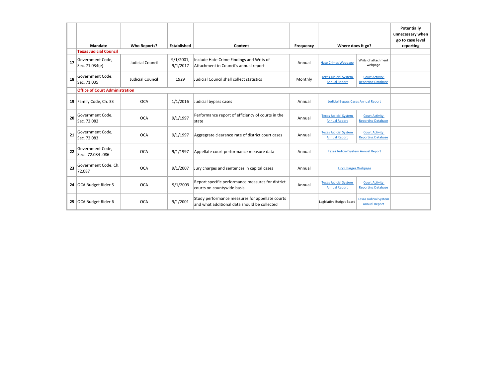|    |                                       |                     |                          |                                                                                                 |           |                                                                                                            |                                | Potentially<br>unnecessary when |
|----|---------------------------------------|---------------------|--------------------------|-------------------------------------------------------------------------------------------------|-----------|------------------------------------------------------------------------------------------------------------|--------------------------------|---------------------------------|
|    | <b>Mandate</b>                        | <b>Who Reports?</b> | <b>Established</b>       | Content                                                                                         | Frequency | Where does it go?                                                                                          |                                | go to case level<br>reporting   |
|    | <b>Texas Judicial Council</b>         |                     |                          |                                                                                                 |           |                                                                                                            |                                |                                 |
| 17 | Government Code,<br>Sec. 71.034(e)    | Judicial Council    | $9/1/2001$ ,<br>9/1/2017 | Include Hate Crime Findings and Writs of<br>Attachment in Council's annual report               | Annual    | <b>Hate Crimes Webpage</b>                                                                                 | Writs of attachment<br>webpage |                                 |
| 18 | Government Code,<br>Sec. 71.035       | Judicial Council    | 1929                     | Judicial Council shall collect statistics                                                       | Monthly   | <b>Texas Judicial System</b><br><b>Court Activity</b><br><b>Annual Report</b><br><b>Reporting Database</b> |                                |                                 |
|    | <b>Office of Court Administration</b> |                     |                          |                                                                                                 |           |                                                                                                            |                                |                                 |
|    | 19 Family Code, Ch. 33                | <b>OCA</b>          | 1/1/2016                 | Judicial bypass cases                                                                           | Annual    | <b>Judicial Bypass Cases Annual Report</b>                                                                 |                                |                                 |
| 20 | Government Code.<br>Sec. 72.082       | <b>OCA</b>          | 9/1/1997                 | Performance report of efficiency of courts in the<br>state                                      | Annual    | <b>Texas Judicial System</b><br><b>Court Activity</b><br><b>Annual Report</b><br><b>Reporting Database</b> |                                |                                 |
| 21 | Government Code,<br>Sec. 72.083       | <b>OCA</b>          | 9/1/1997                 | Aggregrate clearance rate of district court cases                                               | Annual    | <b>Texas Judicial System</b><br><b>Court Activity</b><br><b>Annual Report</b><br><b>Reporting Database</b> |                                |                                 |
| 22 | Government Code,<br>Secs. 72.084-.086 | <b>OCA</b>          | 9/1/1997                 | Appellate court performance measure data                                                        | Annual    | <b>Texas Judicial System Annual Report</b>                                                                 |                                |                                 |
| 23 | Government Code, Ch.<br>72.087        | <b>OCA</b>          | 9/1/2007                 | Jury charges and sentences in capital cases                                                     | Annual    | <b>Jury Charges Webpage</b>                                                                                |                                |                                 |
|    | 24 OCA Budget Rider 5                 | <b>OCA</b>          | 9/1/2003                 | Report specific performance measures for district<br>courts on countywide basis                 | Annual    | <b>Texas Judicial System</b><br><b>Court Activity</b><br><b>Annual Report</b><br><b>Reporting Database</b> |                                |                                 |
| 25 | OCA Budget Rider 6                    | <b>OCA</b>          | 9/1/2001                 | Study performance measures for appellate courts<br>and what additional data should be collected |           | <b>Texas Judicial System</b><br>Legislative Budget Board<br><b>Annual Report</b>                           |                                |                                 |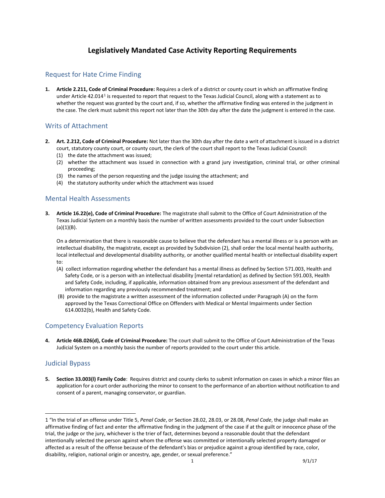### **Legislatively Mandated Case Activity Reporting Requirements**

#### Request for Hate Crime Finding

**1. Article 2.211, Code of Criminal Procedure:** Requires a clerk of a district or county court in which an affirmative finding under Article 42.014[1](#page-16-0) is requested to report that request to the Texas Judicial Council, along with a statement as to whether the request was granted by the court and, if so, whether the affirmative finding was entered in the judgment in the case. The clerk must submit this report not later than the 30th day after the date the judgment is entered in the case.

#### Writs of Attachment

- **2. Art. 2.212, Code of Criminal Procedure:** Not later than the 30th day after the date a writ of attachment is issued in a district court, statutory county court, or county court, the clerk of the court shall report to the Texas Judicial Council:
	- (1) the date the attachment was issued;
	- (2) whether the attachment was issued in connection with a grand jury investigation, criminal trial, or other criminal proceeding;
	- (3) the names of the person requesting and the judge issuing the attachment; and
	- (4) the statutory authority under which the attachment was issued

#### Mental Health Assessments

**3. Article 16.22(e), Code of Criminal Procedure:** The magistrate shall submit to the Office of Court Administration of the Texas Judicial System on a monthly basis the number of written assessments provided to the court under Subsection  $(a)(1)(B)$ .

On a determination that there is reasonable cause to believe that the defendant has a mental illness or is a person with an intellectual disability, the magistrate, except as provided by Subdivision (2), shall order the local mental health authority, local intellectual and developmental disability authority, or another qualified mental health or intellectual disability expert to:

- (A) collect information regarding whether the defendant has a mental illness as defined by Section 571.003, Health and Safety Code, or is a person with an intellectual disability [mental retardation] as defined by Section 591.003, Health and Safety Code, including, if applicable, information obtained from any previous assessment of the defendant and information regarding any previously recommended treatment; and
- (B) provide to the magistrate a written assessment of the information collected under Paragraph (A) on the form approved by the Texas Correctional Office on Offenders with Medical or Mental Impairments under Section 614.0032(b), Health and Safety Code.

#### Competency Evaluation Reports

**4. Article 46B.026(d), Code of Criminal Procedure:** The court shall submit to the Office of Court Administration of the Texas Judicial System on a monthly basis the number of reports provided to the court under this article.

#### Judicial Bypass

 $\overline{a}$ 

**5. Section 33.003(l) Family Code**: Requires district and county clerks to submit information on cases in which a minor files an application for a court order authorizing the minor to consent to the performance of an abortion without notification to and consent of a parent, managing conservator, or guardian.

<span id="page-16-0"></span><sup>1</sup> "In the trial of an offense under Title 5, *Penal Code*, or Section 28.02, 28.03, or 28.08, *Penal Code*, the judge shall make an affirmative finding of fact and enter the affirmative finding in the judgment of the case if at the guilt or innocence phase of the trial, the judge or the jury, whichever is the trier of fact, determines beyond a reasonable doubt that the defendant intentionally selected the person against whom the offense was committed or intentionally selected property damaged or affected as a result of the offense because of the defendant's bias or prejudice against a group identified by race, color, disability, religion, national origin or ancestry, age, gender, or sexual preference."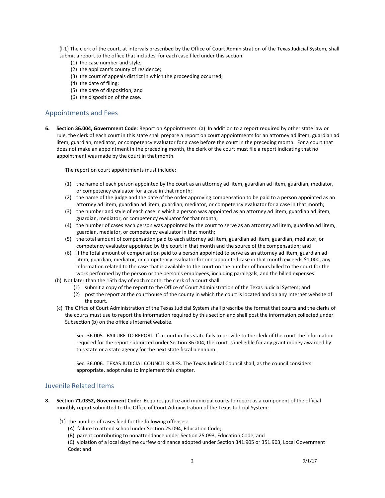(l-1) The clerk of the court, at intervals prescribed by the Office of Court Administration of the Texas Judicial System, shall submit a report to the office that includes, for each case filed under this section:

- (1) the case number and style;
- (2) the applicant's county of residence;
- (3) the court of appeals district in which the proceeding occurred;
- (4) the date of filing;
- (5) the date of disposition; and
- (6) the disposition of the case.

#### Appointments and Fees

**6. Section 36.004, Government Code**: Report on Appointments. (a) In addition to a report required by other state law or rule, the clerk of each court in this state shall prepare a report on court appointments for an attorney ad litem, guardian ad litem, guardian, mediator, or competency evaluator for a case before the court in the preceding month. For a court that does not make an appointment in the preceding month, the clerk of the court must file a report indicating that no appointment was made by the court in that month.

The report on court appointments must include:

- (1) the name of each person appointed by the court as an attorney ad litem, guardian ad litem, guardian, mediator, or competency evaluator for a case in that month;
- (2) the name of the judge and the date of the order approving compensation to be paid to a person appointed as an attorney ad litem, guardian ad litem, guardian, mediator, or competency evaluator for a case in that month;
- (3) the number and style of each case in which a person was appointed as an attorney ad litem, guardian ad litem, guardian, mediator, or competency evaluator for that month;
- (4) the number of cases each person was appointed by the court to serve as an attorney ad litem, guardian ad litem, guardian, mediator, or competency evaluator in that month;
- (5) the total amount of compensation paid to each attorney ad litem, guardian ad litem, guardian, mediator, or competency evaluator appointed by the court in that month and the source of the compensation; and
- (6) if the total amount of compensation paid to a person appointed to serve as an attorney ad litem, guardian ad litem, guardian, mediator, or competency evaluator for one appointed case in that month exceeds \$1,000, any information related to the case that is available to the court on the number of hours billed to the court for the work performed by the person or the person's employees, including paralegals, and the billed expenses.
- (b) Not later than the 15th day of each month, the clerk of a court shall:
	- (1) submit a copy of the report to the Office of Court Administration of the Texas Judicial System; and
		- (2) post the report at the courthouse of the county in which the court is located and on any Internet website of the court.
- (c) The Office of Court Administration of the Texas Judicial System shall prescribe the format that courts and the clerks of the courts must use to report the information required by this section and shall post the information collected under Subsection (b) on the office's Internet website.

Sec. 36.005. FAILURE TO REPORT. If a court in this state fails to provide to the clerk of the court the information required for the report submitted under Section 36.004, the court is ineligible for any grant money awarded by this state or a state agency for the next state fiscal biennium.

Sec. 36.006. TEXAS JUDICIAL COUNCIL RULES. The Texas Judicial Council shall, as the council considers appropriate, adopt rules to implement this chapter.

#### Juvenile Related Items

- **8. Section 71.0352, Government Code:** Requires justice and municipal courts to report as a component of the official monthly report submitted to the Office of Court Administration of the Texas Judicial System:
	- (1) the number of cases filed for the following offenses:
		- (A) failure to attend school under Section 25.094, Education Code;
		- (B) parent contributing to nonattendance under Section 25.093, Education Code; and

(C) violation of a local daytime curfew ordinance adopted under Section 341.905 or 351.903, Local Government Code; and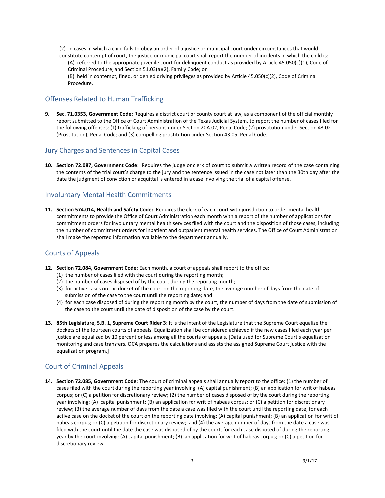(2) in cases in which a child fails to obey an order of a justice or municipal court under circumstances that would constitute contempt of court, the justice or municipal court shall report the number of incidents in which the child is:

(A) referred to the appropriate juvenile court for delinquent conduct as provided by Article 45.050(c)(1), Code of Criminal Procedure, and Section 51.03(a)(2), Family Code; or

(B) held in contempt, fined, or denied driving privileges as provided by Article 45.050(c)(2), Code of Criminal Procedure.

#### Offenses Related to Human Trafficking

**9. Sec. 71.0353, Government Code:** Requires a district court or county court at law, as a component of the official monthly report submitted to the Office of Court Administration of the Texas Judicial System, to report the number of cases filed for the following offenses: (1) trafficking of persons under Section 20A.02, Penal Code; (2) prostitution under Section 43.02 (Prostitution), Penal Code; and (3) compelling prostitution under Section 43.05, Penal Code.

#### Jury Charges and Sentences in Capital Cases

**10. Section 72.087, Government Code**: Requires the judge or clerk of court to submit a written record of the case containing the contents of the trial court's charge to the jury and the sentence issued in the case not later than the 30th day after the date the judgment of conviction or acquittal is entered in a case involving the trial of a capital offense.

#### Involuntary Mental Health Commitments

**11. Section 574.014, Health and Safety Code:** Requires the clerk of each court with jurisdiction to order mental health commitments to provide the Office of Court Administration each month with a report of the number of applications for commitment orders for involuntary mental health services filed with the court and the disposition of those cases, including the number of commitment orders for inpatient and outpatient mental health services. The Office of Court Administration shall make the reported information available to the department annually.

#### Courts of Appeals

- **12. Section 72.084, Government Code**: Each month, a court of appeals shall report to the office:
	- (1) the number of cases filed with the court during the reporting month;
	- (2) the number of cases disposed of by the court during the reporting month;
	- (3) for active cases on the docket of the court on the reporting date, the average number of days from the date of submission of the case to the court until the reporting date; and
	- (4) for each case disposed of during the reporting month by the court, the number of days from the date of submission of the case to the court until the date of disposition of the case by the court.
- **13. 85th Legislature, S.B. 1, Supreme Court Rider 3**: It is the intent of the Legislature that the Supreme Court equalize the dockets of the fourteen courts of appeals. Equalization shall be considered achieved if the new cases filed each year per justice are equalized by 10 percent or less among all the courts of appeals. [Data used for Supreme Court's equalization monitoring and case transfers. OCA prepares the calculations and assists the assigned Supreme Court justice with the equalization program.]

### Court of Criminal Appeals

**14. Section 72.085, Government Code**: The court of criminal appeals shall annually report to the office: (1) the number of cases filed with the court during the reporting year involving: (A) capital punishment; (B) an application for writ of habeas corpus; or (C) a petition for discretionary review; (2) the number of cases disposed of by the court during the reporting year involving: (A) capital punishment; (B) an application for writ of habeas corpus; or (C) a petition for discretionary review; (3) the average number of days from the date a case was filed with the court until the reporting date, for each active case on the docket of the court on the reporting date involving: (A) capital punishment; (B) an application for writ of habeas corpus; or (C) a petition for discretionary review; and (4) the average number of days from the date a case was filed with the court until the date the case was disposed of by the court, for each case disposed of during the reporting year by the court involving: (A) capital punishment; (B) an application for writ of habeas corpus; or (C) a petition for discretionary review.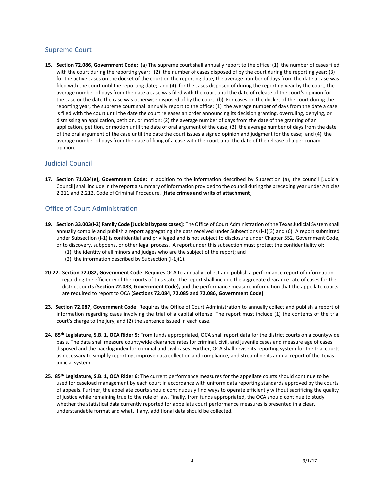#### Supreme Court

**15. Section 72.086, Government Code:** (a) The supreme court shall annually report to the office: (1) the number of cases filed with the court during the reporting year; (2) the number of cases disposed of by the court during the reporting year; (3) for the active cases on the docket of the court on the reporting date, the average number of days from the date a case was filed with the court until the reporting date; and (4) for the cases disposed of during the reporting year by the court, the average number of days from the date a case was filed with the court until the date of release of the court's opinion for the case or the date the case was otherwise disposed of by the court. (b) For cases on the docket of the court during the reporting year, the supreme court shall annually report to the office: (1) the average number of days from the date a case is filed with the court until the date the court releases an order announcing its decision granting, overruling, denying, or dismissing an application, petition, or motion; (2) the average number of days from the date of the granting of an application, petition, or motion until the date of oral argument of the case; (3) the average number of days from the date of the oral argument of the case until the date the court issues a signed opinion and judgment for the case; and (4) the average number of days from the date of filing of a case with the court until the date of the release of a per curiam opinion.

#### Judicial Council

**17. Section 71.034(e), Government Code:** In addition to the information described by Subsection (a), the council [Judicial Council] shall include in the report a summary of information provided to the council during the preceding year under Articles 2.211 and 2.212, Code of Criminal Procedure. [**Hate crimes and writs of attachment**]

#### Office of Court Administration

- **19. Section 33.003(l-2) Family Code [Judicial bypass cases]**: The Office of Court Administration of the Texas Judicial System shall annually compile and publish a report aggregating the data received under Subsections (l-1)(3) and (6). A report submitted under Subsection (l-1) is confidential and privileged and is not subject to disclosure under Chapter 552, Government Code, or to discovery, subpoena, or other legal process. A report under this subsection must protect the confidentiality of:
	- (1) the identity of all minors and judges who are the subject of the report; and
	- (2) the information described by Subsection (l-1)(1).
- **20-22. Section 72.082, Government Code**: Requires OCA to annually collect and publish a performance report of information regarding the efficiency of the courts of this state. The report shall include the aggregate clearance rate of cases for the district courts (**Section 72.083, Government Code),** and the performance measure information that the appellate courts are required to report to OCA (**Sections 72.084, 72.085 and 72.086, Government Code)**.
- **23. Section 72.087, Government Code**: Requires the Office of Court Administration to annually collect and publish a report of information regarding cases involving the trial of a capital offense. The report must include (1) the contents of the trial court's charge to the jury, and (2) the sentence issued in each case.
- **24. 85th Legislature, S.B. 1, OCA Rider 5**: From funds appropriated, OCA shall report data for the district courts on a countywide basis. The data shall measure countywide clearance rates for criminal, civil, and juvenile cases and measure age of cases disposed and the backlog index for criminal and civil cases. Further, OCA shall revise its reporting system for the trial courts as necessary to simplify reporting, improve data collection and compliance, and streamline its annual report of the Texas judicial system.
- **25. 85th Legislature, S.B. 1, OCA Rider 6**: The current performance measures for the appellate courts should continue to be used for caseload management by each court in accordance with uniform data reporting standards approved by the courts of appeals. Further, the appellate courts should continuously find ways to operate efficiently without sacrificing the quality of justice while remaining true to the rule of law. Finally, from funds appropriated, the OCA should continue to study whether the statistical data currently reported for appellate court performance measures is presented in a clear, understandable format and what, if any, additional data should be collected.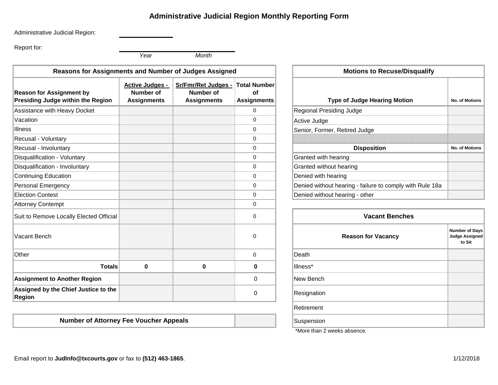### **Administrative Judicial Region Monthly Reporting Form**

Administrative Judicial Region:

Report for:

*Year Month*

| <b>Reasons for Assignments and Number of Judges Assigned</b>         |                                                                                                                                                                        |   |                                                              | <b>Motions to Recuse/Disqualify</b>                                   |
|----------------------------------------------------------------------|------------------------------------------------------------------------------------------------------------------------------------------------------------------------|---|--------------------------------------------------------------|-----------------------------------------------------------------------|
| <b>Reason for Assignment by</b><br>Presiding Judge within the Region | <b>Total Number</b><br>Sr/Fmr/Ret Judges -<br><b>Active Judges -</b><br>Number of<br>Number of<br>of<br><b>Assignments</b><br><b>Assignments</b><br><b>Assignments</b> |   | <b>Type of Judge Hearing Motion</b><br><b>No. of Motions</b> |                                                                       |
| Assistance with Heavy Docket                                         |                                                                                                                                                                        |   | $\overline{0}$                                               | Regional Presiding Judge                                              |
| Vacation                                                             |                                                                                                                                                                        |   | 0                                                            | Active Judge                                                          |
| <b>Illness</b>                                                       |                                                                                                                                                                        |   | 0                                                            | Senior, Former, Retired Judge                                         |
| Recusal - Voluntary                                                  |                                                                                                                                                                        |   | $\Omega$                                                     |                                                                       |
| Recusal - Involuntary                                                |                                                                                                                                                                        |   | 0                                                            | <b>Disposition</b><br><b>No. of Motions</b>                           |
| Disqualification - Voluntary                                         |                                                                                                                                                                        |   | $\mathbf 0$                                                  | Granted with hearing                                                  |
| Disqualification - Involuntary                                       |                                                                                                                                                                        |   | $\mathbf 0$                                                  | Granted without hearing                                               |
| <b>Continuing Education</b>                                          |                                                                                                                                                                        |   | $\Omega$                                                     | Denied with hearing                                                   |
| <b>Personal Emergency</b>                                            |                                                                                                                                                                        |   | $\mathbf 0$                                                  | Denied without hearing - failure to comply with Rule 18a              |
| <b>Election Contest</b>                                              |                                                                                                                                                                        |   | $\Omega$                                                     | Denied without hearing - other                                        |
| <b>Attorney Contempt</b>                                             |                                                                                                                                                                        |   | 0                                                            |                                                                       |
| Suit to Remove Locally Elected Official                              |                                                                                                                                                                        |   | 0                                                            | <b>Vacant Benches</b>                                                 |
| Vacant Bench                                                         |                                                                                                                                                                        |   | 0                                                            | Number of Day<br><b>Reason for Vacancy</b><br>Judge Assigne<br>to Sit |
| Other                                                                |                                                                                                                                                                        |   | $\mathbf 0$                                                  | Death                                                                 |
| <b>Totals</b>                                                        | $\mathbf 0$                                                                                                                                                            | 0 | $\bf{0}$                                                     | Illness*                                                              |
| <b>Assignment to Another Region</b>                                  |                                                                                                                                                                        |   | $\mathbf{0}$                                                 | New Bench                                                             |
| Assigned by the Chief Justice to the<br><b>Region</b>                |                                                                                                                                                                        |   | $\Omega$                                                     | Resignation                                                           |

**Number of Attorney Fee Voucher Appeals**

|                                                 | <b>Motions to Recuse/Disqualify</b>                      |                       |  |  |  |  |  |
|-------------------------------------------------|----------------------------------------------------------|-----------------------|--|--|--|--|--|
| <b>Total Number</b><br>οf<br><b>Assignments</b> | <b>Type of Judge Hearing Motion</b>                      | <b>No. of Motions</b> |  |  |  |  |  |
| 0                                               | Regional Presiding Judge                                 |                       |  |  |  |  |  |
| 0                                               | Active Judge                                             |                       |  |  |  |  |  |
| 0                                               | Senior, Former, Retired Judge                            |                       |  |  |  |  |  |
| 0                                               |                                                          |                       |  |  |  |  |  |
| 0                                               | <b>Disposition</b>                                       | <b>No. of Motions</b> |  |  |  |  |  |
| 0                                               | Granted with hearing                                     |                       |  |  |  |  |  |
| 0                                               | Granted without hearing                                  |                       |  |  |  |  |  |
| 0                                               | Denied with hearing                                      |                       |  |  |  |  |  |
| 0                                               | Denied without hearing - failure to comply with Rule 18a |                       |  |  |  |  |  |
| 0                                               | Denied without hearing - other                           |                       |  |  |  |  |  |

| <b>Vacant Benches</b>     |                                                          |  |  |  |
|---------------------------|----------------------------------------------------------|--|--|--|
| <b>Reason for Vacancy</b> | <b>Number of Days</b><br><b>Judge Assigned</b><br>to Sit |  |  |  |
| Death                     |                                                          |  |  |  |
| Illness*                  |                                                          |  |  |  |
| New Bench                 |                                                          |  |  |  |
| Resignation               |                                                          |  |  |  |
| Retirement                |                                                          |  |  |  |
| Suspension                |                                                          |  |  |  |

\*More than 2 weeks absence.